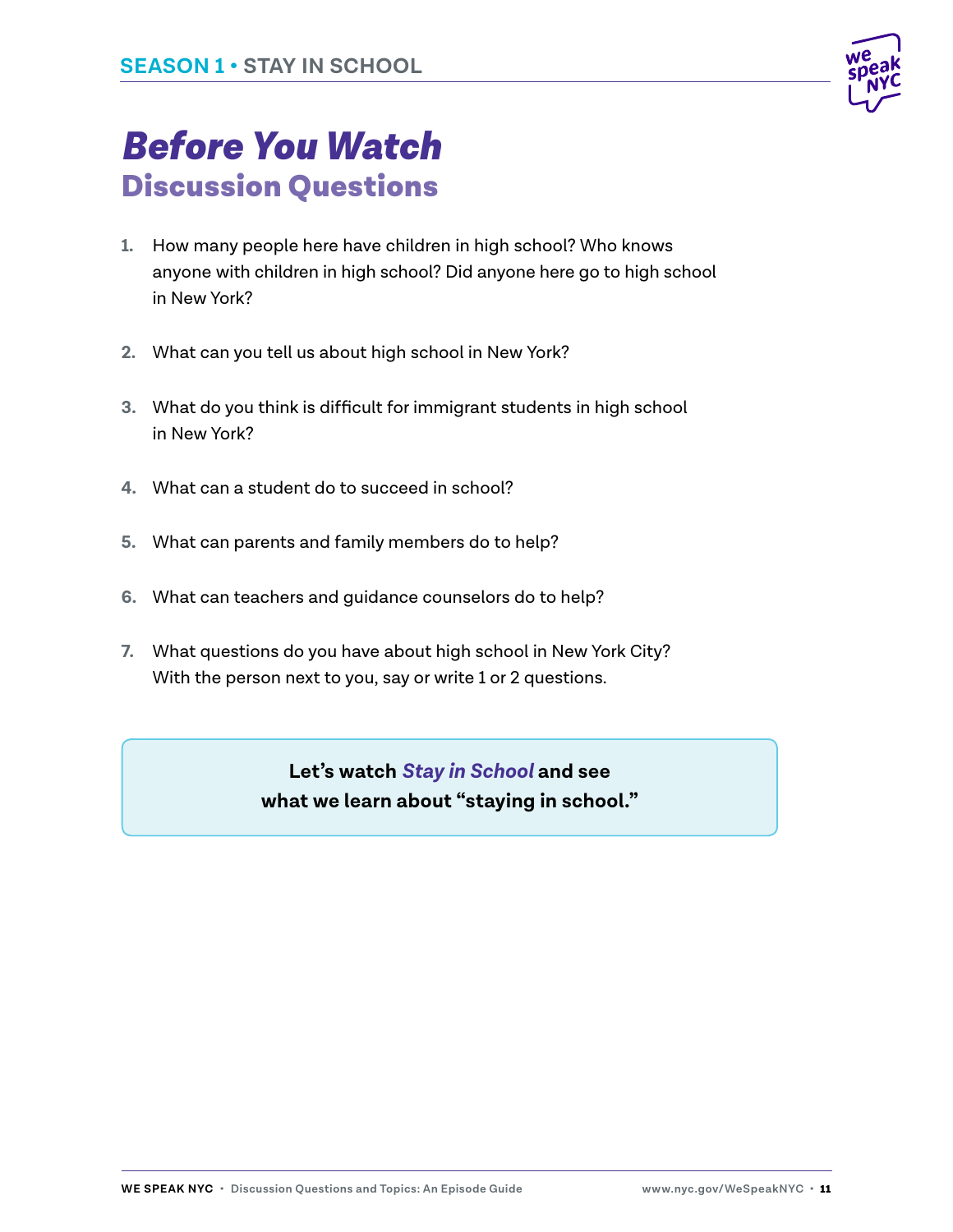

## *Before You Watch* Discussion Questions

- **1.** How many people here have children in high school? Who knows anyone with children in high school? Did anyone here go to high school in New York?
- **2.** What can you tell us about high school in New York?
- **3.** What do you think is difficult for immigrant students in high school in New York?
- **4.** What can a student do to succeed in school?
- **5.** What can parents and family members do to help?
- **6.** What can teachers and guidance counselors do to help?
- **7.** What questions do you have about high school in New York City? With the person next to you, say or write 1 or 2 questions.

**Let's watch** *Stay in School* **and see what we learn about "staying in school."**